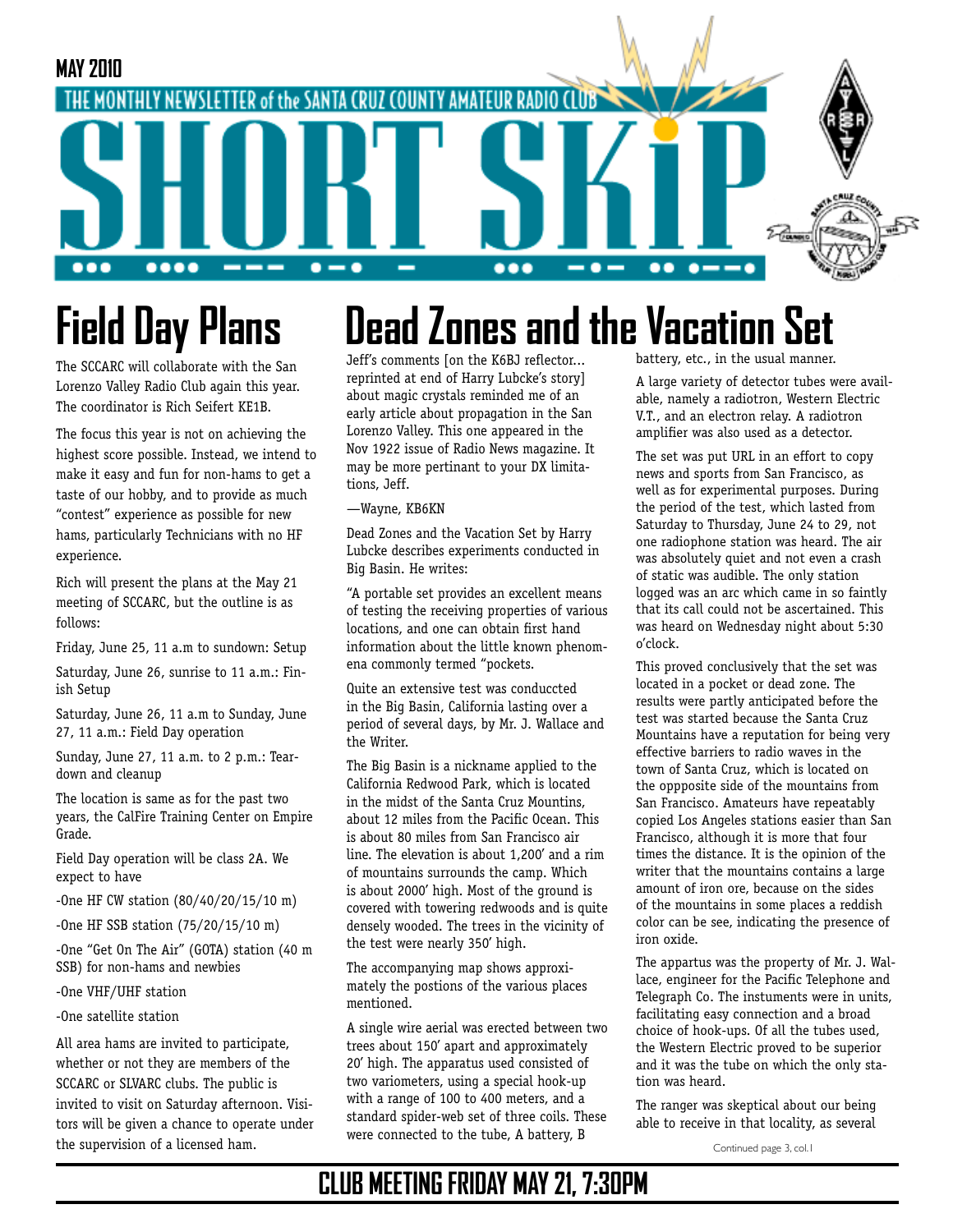

# **Field Day Plans**

The SCCARC will collaborate with the San Lorenzo Valley Radio Club again this year. The coordinator is Rich Seifert KE1B.

The focus this year is not on achieving the highest score possible. Instead, we intend to make it easy and fun for non-hams to get a taste of our hobby, and to provide as much "contest" experience as possible for new hams, particularly Technicians with no HF experience.

Rich will present the plans at the May 21 meeting of SCCARC, but the outline is as follows:

Friday, June 25, 11 a.m to sundown: Setup

Saturday, June 26, sunrise to 11 a.m.: Finish Setup

Saturday, June 26, 11 a.m to Sunday, June 27, 11 a.m.: Field Day operation

Sunday, June 27, 11 a.m. to 2 p.m.: Teardown and cleanup

The location is same as for the past two years, the CalFire Training Center on Empire Grade.

Field Day operation will be class 2A. We expect to have

-One HF CW station (80/40/20/15/10 m)

-One HF SSB station (75/20/15/10 m)

-One "Get On The Air" (GOTA) station (40 m SSB) for non-hams and newbies

-One VHF/UHF station

-One satellite station

All area hams are invited to participate, whether or not they are members of the SCCARC or SLVARC clubs. The public is invited to visit on Saturday afternoon. Visitors will be given a chance to operate under the supervision of a licensed ham.

# **Dead Zones and the Vacation Set**

Jeff's comments [on the K6BJ reflector... reprinted at end of Harry Lubcke's story] about magic crystals reminded me of an early article about propagation in the San Lorenzo Valley. This one appeared in the Nov 1922 issue of Radio News magazine. It may be more pertinant to your DX limitations, Jeff.

#### —Wayne, KB6KN

Dead Zones and the Vacation Set by Harry Lubcke describes experiments conducted in Big Basin. He writes:

"A portable set provides an excellent means of testing the receiving properties of various locations, and one can obtain first hand information about the little known phenomena commonly termed "pockets.

Quite an extensive test was conduccted in the Big Basin, California lasting over a period of several days, by Mr. J. Wallace and the Writer.

The Big Basin is a nickname applied to the California Redwood Park, which is located in the midst of the Santa Cruz Mountins, about 12 miles from the Pacific Ocean. This is about 80 miles from San Francisco air line. The elevation is about 1,200' and a rim of mountains surrounds the camp. Which is about 2000' high. Most of the ground is covered with towering redwoods and is quite densely wooded. The trees in the vicinity of the test were nearly 350' high.

The accompanying map shows approximately the postions of the various places mentioned.

A single wire aerial was erected between two trees about 150' apart and approximately 20' high. The apparatus used consisted of two variometers, using a special hook-up with a range of 100 to 400 meters, and a standard spider-web set of three coils. These were connected to the tube, A battery, B

battery, etc., in the usual manner.

A large variety of detector tubes were available, namely a radiotron, Western Electric V.T., and an electron relay. A radiotron amplifier was also used as a detector.

The set was put URL in an effort to copy news and sports from San Francisco, as well as for experimental purposes. During the period of the test, which lasted from Saturday to Thursday, June 24 to 29, not one radiophone station was heard. The air was absolutely quiet and not even a crash of static was audible. The only station logged was an arc which came in so faintly that its call could not be ascertained. This was heard on Wednesday night about 5:30 o'clock.

This proved conclusively that the set was located in a pocket or dead zone. The results were partly anticipated before the test was started because the Santa Cruz Mountains have a reputation for being very effective barriers to radio waves in the town of Santa Cruz, which is located on the oppposite side of the mountains from San Francisco. Amateurs have repeatably copied Los Angeles stations easier than San Francisco, although it is more that four times the distance. It is the opinion of the writer that the mountains contains a large amount of iron ore, because on the sides of the mountains in some places a reddish color can be see, indicating the presence of iron oxide.

The appartus was the property of Mr. J. Wallace, engineer for the Pacific Telephone and Telegraph Co. The instuments were in units, facilitating easy connection and a broad choice of hook-ups. Of all the tubes used, the Western Electric proved to be superior and it was the tube on which the only station was heard.

The ranger was skeptical about our being able to receive in that locality, as several

Continued page 3, col.1

## **CLUB MEETING FRIDAY MAY 21, 7:30PM**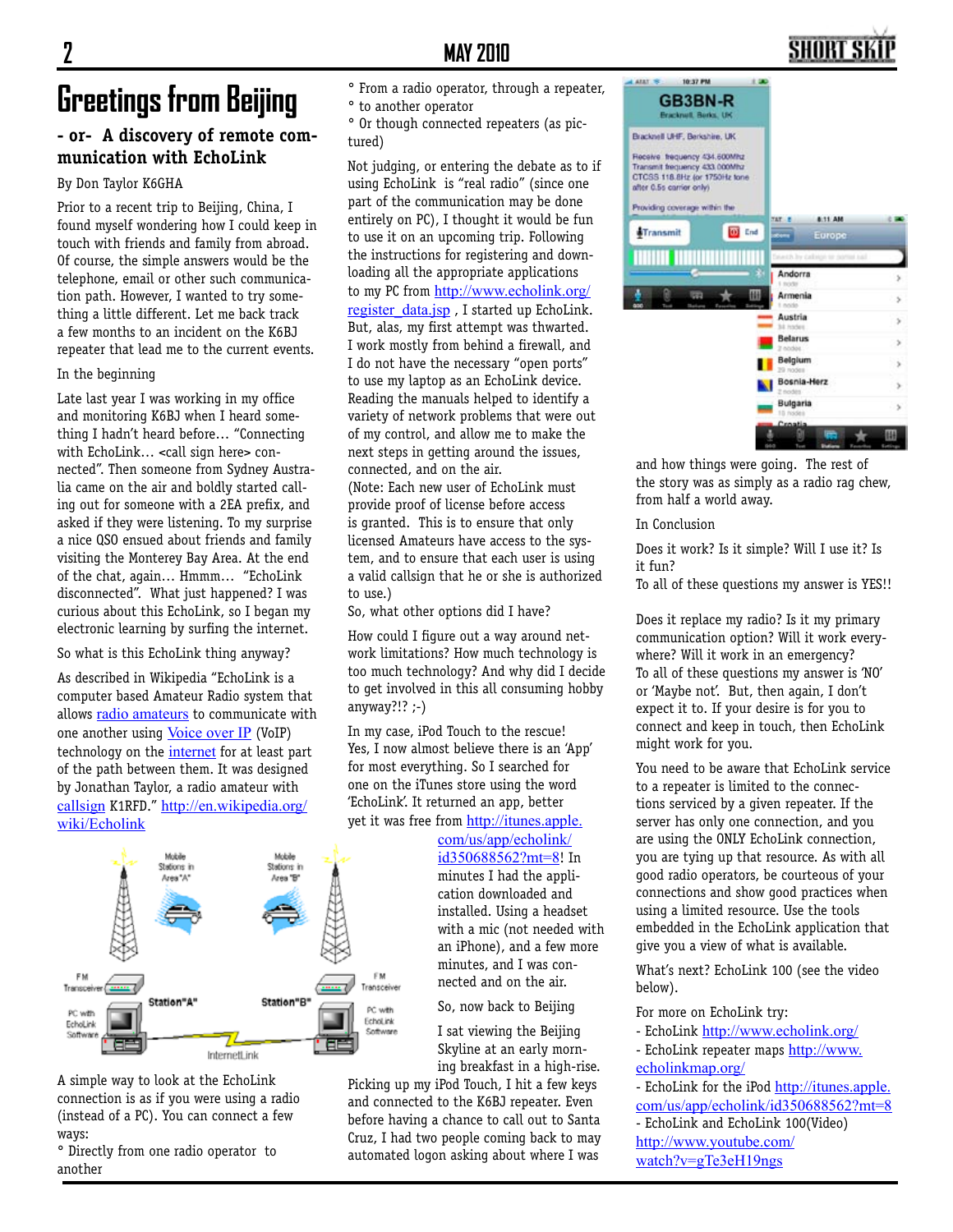## **SHORT SI**

# **Greetings from Beijing**

### **- or- A discovery of remote communication with EchoLink**

### By Don Taylor K6GHA

Prior to a recent trip to Beijing, China, I found myself wondering how I could keep in touch with friends and family from abroad. Of course, the simple answers would be the telephone, email or other such communication path. However, I wanted to try something a little different. Let me back track a few months to an incident on the K6BJ repeater that lead me to the current events.

#### In the beginning

Late last year I was working in my office and monitoring K6BJ when I heard something I hadn't heard before… "Connecting with EchoLink… <call sign here> connected". Then someone from Sydney Australia came on the air and boldly started calling out for someone with a 2EA prefix, and asked if they were listening. To my surprise a nice QSO ensued about friends and family visiting the Monterey Bay Area. At the end of the chat, again… Hmmm… "EchoLink disconnected". What just happened? I was curious about this EchoLink, so I began my electronic learning by surfing the internet.

So what is this EchoLink thing anyway?

As described in Wikipedia "EchoLink is a computer based Amateur Radio system that allows radio amateurs to communicate with one another using Voice over IP (VoIP) technology on the internet for at least part of the path between them. It was designed by Jonathan Taylor, a radio amateur with callsign K1RFD." http://en.wikipedia.org/ wiki/Echolink



A simple way to look at the EchoLink connection is as if you were using a radio (instead of a PC). You can connect a few ways:

° Directly from one radio operator to another

- ° From a radio operator, through a repeater,
- ° to another operator

° Or though connected repeaters (as pictured)

Not judging, or entering the debate as to if using EchoLink is "real radio" (since one part of the communication may be done entirely on PC), I thought it would be fun to use it on an upcoming trip. Following the instructions for registering and downloading all the appropriate applications to my PC from http://www.echolink.org/ register data.jsp , I started up EchoLink. But, alas, my first attempt was thwarted. I work mostly from behind a firewall, and I do not have the necessary "open ports" to use my laptop as an EchoLink device. Reading the manuals helped to identify a variety of network problems that were out of my control, and allow me to make the next steps in getting around the issues, connected, and on the air. (Note: Each new user of EchoLink must provide proof of license before access is granted. This is to ensure that only licensed Amateurs have access to the system, and to ensure that each user is using a valid callsign that he or she is authorized to use.)

So, what other options did I have?

How could I figure out a way around network limitations? How much technology is too much technology? And why did I decide to get involved in this all consuming hobby anyway?!? ;-)

In my case, iPod Touch to the rescue! Yes, I now almost believe there is an 'App' for most everything. So I searched for one on the iTunes store using the word 'EchoLink'. It returned an app, better yet it was free from http://itunes.apple.

> com/us/app/echolink/ id350688562?mt=8! In minutes I had the application downloaded and installed. Using a headset with a mic (not needed with an iPhone), and a few more minutes, and I was connected and on the air.

So, now back to Beijing

I sat viewing the Beijing Skyline at an early morning breakfast in a high-rise.

Picking up my iPod Touch, I hit a few keys and connected to the K6BJ repeater. Even before having a chance to call out to Santa Cruz, I had two people coming back to may automated logon asking about where I was



and how things were going. The rest of the story was as simply as a radio rag chew, from half a world away.

In Conclusion

Does it work? Is it simple? Will I use it? Is it fun?

To all of these questions my answer is YES!!

Does it replace my radio? Is it my primary communication option? Will it work everywhere? Will it work in an emergency? To all of these questions my answer is 'NO' or 'Maybe not'. But, then again, I don't expect it to. If your desire is for you to connect and keep in touch, then EchoLink might work for you.

You need to be aware that EchoLink service to a repeater is limited to the connections serviced by a given repeater. If the server has only one connection, and you are using the ONLY EchoLink connection, you are tying up that resource. As with all good radio operators, be courteous of your connections and show good practices when using a limited resource. Use the tools embedded in the EchoLink application that give you a view of what is available.

What's next? EchoLink 100 (see the video below).

For more on EchoLink try:

- EchoLink http://www.echolink.org/ - EchoLink repeater maps http://www.
- echolinkmap.org/

- EchoLink for the iPod http://itunes.apple. com/us/app/echolink/id350688562?mt=8

- EchoLink and EchoLink 100(Video) http://www.youtube.com/ watch?v=gTe3eH19ngs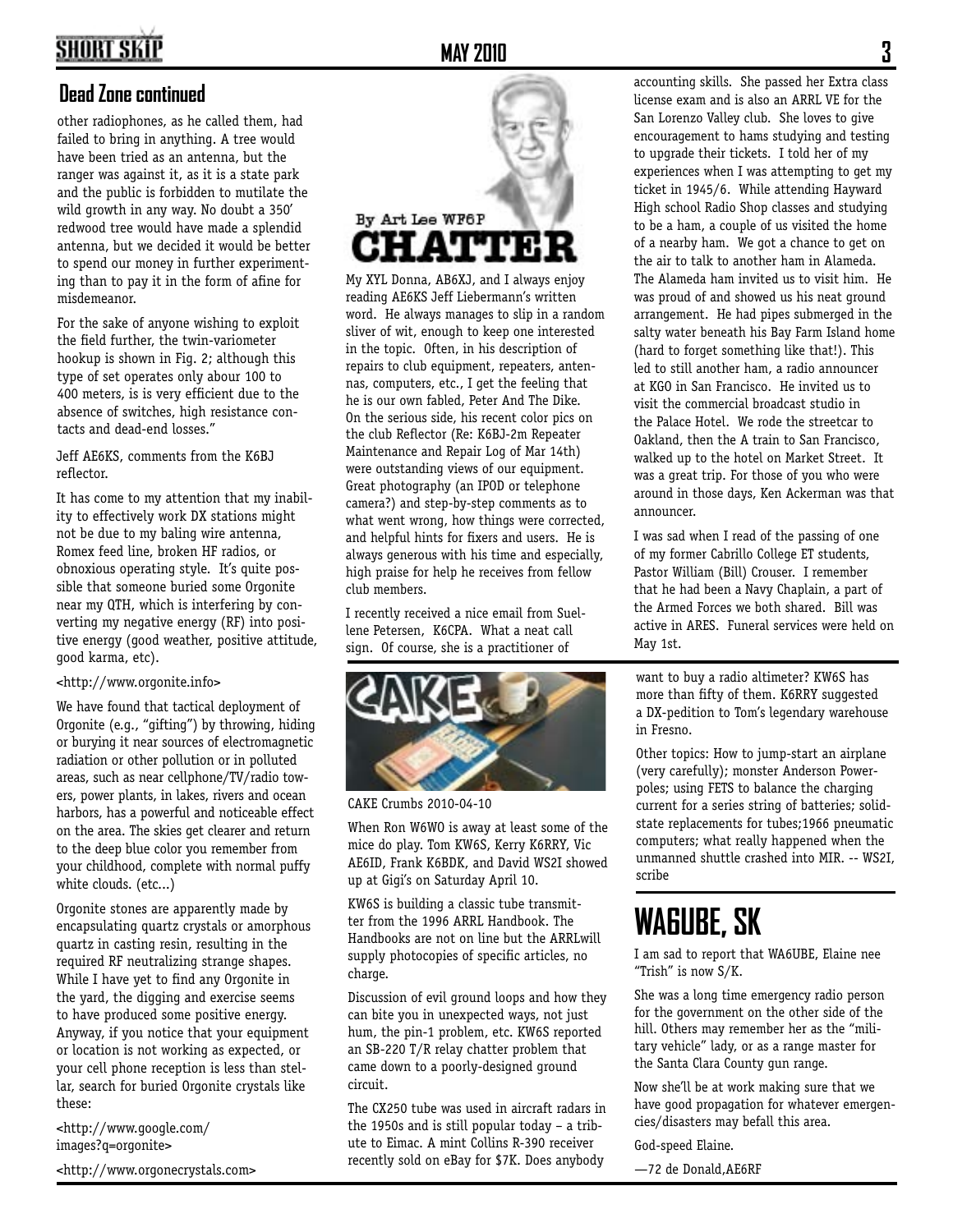# **SHORT SKI**

### **Dead Zone continued**

other radiophones, as he called them, had failed to bring in anything. A tree would have been tried as an antenna, but the ranger was against it, as it is a state park and the public is forbidden to mutilate the wild growth in any way. No doubt a 350' redwood tree would have made a splendid antenna, but we decided it would be better to spend our money in further experimenting than to pay it in the form of afine for misdemeanor.

For the sake of anyone wishing to exploit the field further, the twin-variometer hookup is shown in Fig. 2; although this type of set operates only abour 100 to 400 meters, is is very efficient due to the absence of switches, high resistance contacts and dead-end losses."

Jeff AE6KS, comments from the K6BJ reflector.

It has come to my attention that my inability to effectively work DX stations might not be due to my baling wire antenna, Romex feed line, broken HF radios, or obnoxious operating style. It's quite possible that someone buried some Orgonite near my QTH, which is interfering by converting my negative energy (RF) into positive energy (good weather, positive attitude, good karma, etc).

### <http://www.orgonite.info>

We have found that tactical deployment of Orgonite (e.g., "gifting") by throwing, hiding or burying it near sources of electromagnetic radiation or other pollution or in polluted areas, such as near cellphone/TV/radio towers, power plants, in lakes, rivers and ocean harbors, has a powerful and noticeable effect on the area. The skies get clearer and return to the deep blue color you remember from your childhood, complete with normal puffy white clouds. (etc...)

Orgonite stones are apparently made by encapsulating quartz crystals or amorphous quartz in casting resin, resulting in the required RF neutralizing strange shapes. While I have yet to find any Orgonite in the yard, the digging and exercise seems to have produced some positive energy. Anyway, if you notice that your equipment or location is not working as expected, or your cell phone reception is less than stellar, search for buried Orgonite crystals like these:

<http://www.google.com/ images?q=orgonite>

<http://www.orgonecrystals.com>

**MAY 2010 3**



My XYL Donna, AB6XJ, and I always enjoy reading AE6KS Jeff Liebermann's written word. He always manages to slip in a random sliver of wit, enough to keep one interested in the topic. Often, in his description of repairs to club equipment, repeaters, antennas, computers, etc., I get the feeling that he is our own fabled, Peter And The Dike. On the serious side, his recent color pics on the club Reflector (Re: K6BJ-2m Repeater Maintenance and Repair Log of Mar 14th) were outstanding views of our equipment. Great photography (an IPOD or telephone camera?) and step-by-step comments as to what went wrong, how things were corrected, and helpful hints for fixers and users. He is always generous with his time and especially, high praise for help he receives from fellow club members.

I recently received a nice email from Suellene Petersen, K6CPA. What a neat call sign. Of course, she is a practitioner of



CAKE Crumbs 2010-04-10

When Ron W6WO is away at least some of the mice do play. Tom KW6S, Kerry K6RRY, Vic AE6ID, Frank K6BDK, and David WS2I showed up at Gigi's on Saturday April 10.

KW6S is building a classic tube transmitter from the 1996 ARRL Handbook. The Handbooks are not on line but the ARRLwill supply photocopies of specific articles, no charge.

Discussion of evil ground loops and how they can bite you in unexpected ways, not just hum, the pin-1 problem, etc. KW6S reported an SB-220 T/R relay chatter problem that came down to a poorly-designed ground circuit.

The CX250 tube was used in aircraft radars in the 1950s and is still popular today – a tribute to Eimac. A mint Collins R-390 receiver recently sold on eBay for \$7K. Does anybody

accounting skills. She passed her Extra class license exam and is also an ARRL VE for the San Lorenzo Valley club. She loves to give encouragement to hams studying and testing to upgrade their tickets. I told her of my experiences when I was attempting to get my ticket in 1945/6. While attending Hayward High school Radio Shop classes and studying to be a ham, a couple of us visited the home of a nearby ham. We got a chance to get on the air to talk to another ham in Alameda. The Alameda ham invited us to visit him. He was proud of and showed us his neat ground arrangement. He had pipes submerged in the salty water beneath his Bay Farm Island home (hard to forget something like that!). This led to still another ham, a radio announcer at KGO in San Francisco. He invited us to visit the commercial broadcast studio in the Palace Hotel. We rode the streetcar to Oakland, then the A train to San Francisco, walked up to the hotel on Market Street. It was a great trip. For those of you who were around in those days, Ken Ackerman was that announcer.

I was sad when I read of the passing of one of my former Cabrillo College ET students, Pastor William (Bill) Crouser. I remember that he had been a Navy Chaplain, a part of the Armed Forces we both shared. Bill was active in ARES. Funeral services were held on May 1st.

want to buy a radio altimeter? KW6S has more than fifty of them. K6RRY suggested a DX-pedition to Tom's legendary warehouse in Fresno.

Other topics: How to jump-start an airplane (very carefully); monster Anderson Powerpoles; using FETS to balance the charging current for a series string of batteries; solidstate replacements for tubes;1966 pneumatic computers; what really happened when the unmanned shuttle crashed into MIR. -- WS2I, scribe

# **WA6UBE, SK**

I am sad to report that WA6UBE, Elaine nee "Trish" is now S/K.

She was a long time emergency radio person for the government on the other side of the hill. Others may remember her as the "military vehicle" lady, or as a range master for the Santa Clara County gun range.

Now she'll be at work making sure that we have good propagation for whatever emergencies/disasters may befall this area.

God-speed Elaine.

—72 de Donald,AE6RF